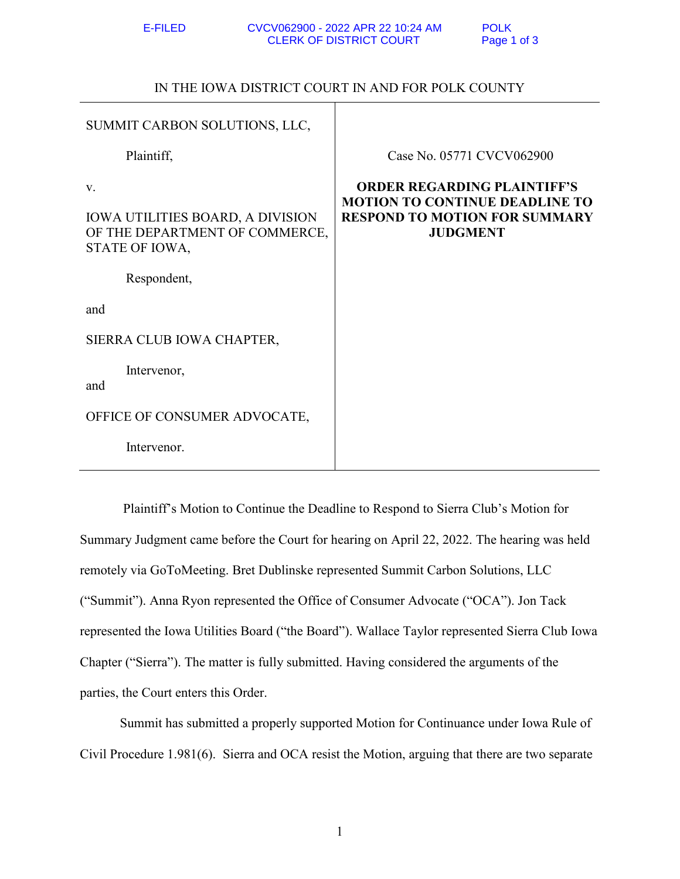IN THE IOWA DISTRICT COURT IN AND FOR POLK COUNTY

| SUMMIT CARBON SOLUTIONS, LLC,                                                              |                                                                                                                                        |
|--------------------------------------------------------------------------------------------|----------------------------------------------------------------------------------------------------------------------------------------|
| Plaintiff,                                                                                 | Case No. 05771 CVCV062900                                                                                                              |
| V.<br>IOWA UTILITIES BOARD, A DIVISION<br>OF THE DEPARTMENT OF COMMERCE,<br>STATE OF IOWA, | <b>ORDER REGARDING PLAINTIFF'S</b><br><b>MOTION TO CONTINUE DEADLINE TO</b><br><b>RESPOND TO MOTION FOR SUMMARY</b><br><b>JUDGMENT</b> |
| Respondent,                                                                                |                                                                                                                                        |
| and                                                                                        |                                                                                                                                        |
| SIERRA CLUB IOWA CHAPTER,                                                                  |                                                                                                                                        |
| Intervenor,<br>and                                                                         |                                                                                                                                        |
| OFFICE OF CONSUMER ADVOCATE,                                                               |                                                                                                                                        |
| Intervenor.                                                                                |                                                                                                                                        |

 Plaintiff's Motion to Continue the Deadline to Respond to Sierra Club's Motion for Summary Judgment came before the Court for hearing on April 22, 2022. The hearing was held remotely via GoToMeeting. Bret Dublinske represented Summit Carbon Solutions, LLC ("Summit"). Anna Ryon represented the Office of Consumer Advocate ("OCA"). Jon Tack represented the Iowa Utilities Board ("the Board"). Wallace Taylor represented Sierra Club Iowa Chapter ("Sierra"). The matter is fully submitted. Having considered the arguments of the parties, the Court enters this Order.

 Summit has submitted a properly supported Motion for Continuance under Iowa Rule of Civil Procedure 1.981(6). Sierra and OCA resist the Motion, arguing that there are two separate

1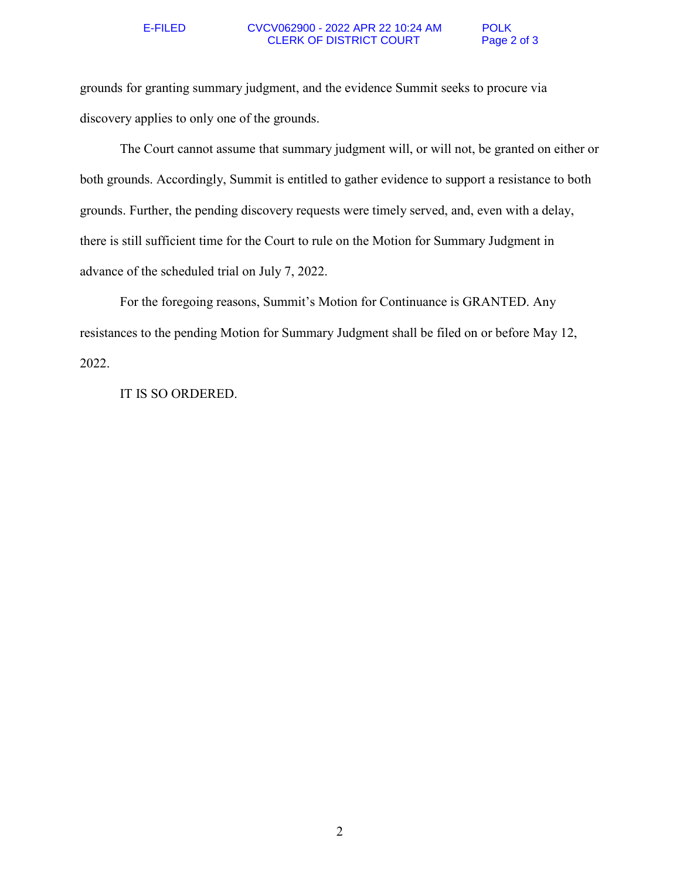## E-FILED CVCV062900 - 2022 APR 22 10:24 AM POLK CLERK OF DISTRICT COURT Page 2 of 3

grounds for granting summary judgment, and the evidence Summit seeks to procure via discovery applies to only one of the grounds.

 The Court cannot assume that summary judgment will, or will not, be granted on either or both grounds. Accordingly, Summit is entitled to gather evidence to support a resistance to both grounds. Further, the pending discovery requests were timely served, and, even with a delay, there is still sufficient time for the Court to rule on the Motion for Summary Judgment in advance of the scheduled trial on July 7, 2022.

 For the foregoing reasons, Summit's Motion for Continuance is GRANTED. Any resistances to the pending Motion for Summary Judgment shall be filed on or before May 12, 2022.

IT IS SO ORDERED.